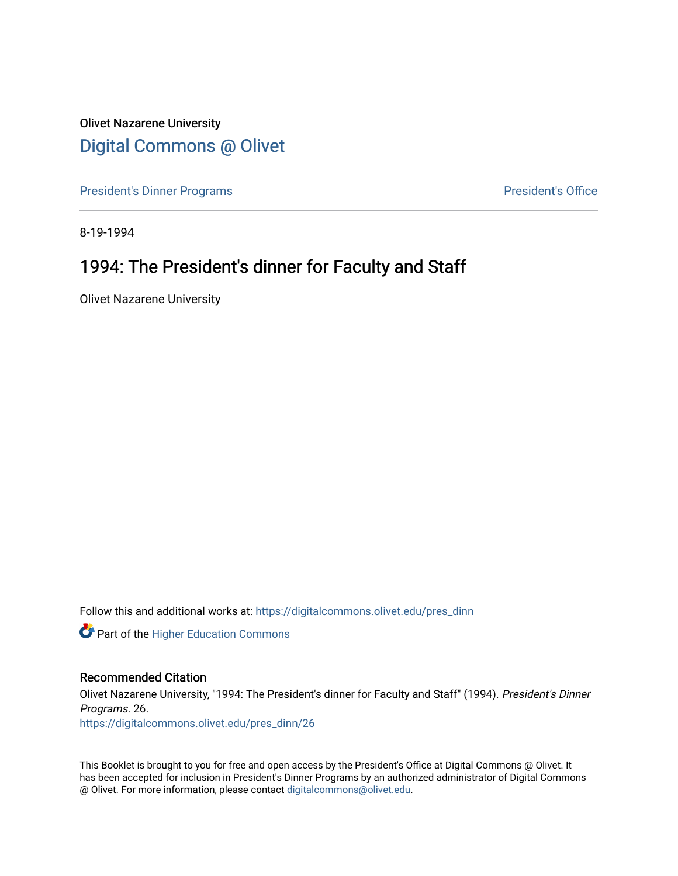Olivet Nazarene University [Digital Commons @ Olivet](https://digitalcommons.olivet.edu/)

[President's Dinner Programs](https://digitalcommons.olivet.edu/pres_dinn) **President's Office** 

8-19-1994

### 1994: The President's dinner for Faculty and Staff

Olivet Nazarene University

Follow this and additional works at: [https://digitalcommons.olivet.edu/pres\\_dinn](https://digitalcommons.olivet.edu/pres_dinn?utm_source=digitalcommons.olivet.edu%2Fpres_dinn%2F26&utm_medium=PDF&utm_campaign=PDFCoverPages)

**Part of the Higher Education Commons** 

#### Recommended Citation

Olivet Nazarene University, "1994: The President's dinner for Faculty and Staff" (1994). President's Dinner Programs. 26.

[https://digitalcommons.olivet.edu/pres\\_dinn/26](https://digitalcommons.olivet.edu/pres_dinn/26?utm_source=digitalcommons.olivet.edu%2Fpres_dinn%2F26&utm_medium=PDF&utm_campaign=PDFCoverPages) 

This Booklet is brought to you for free and open access by the President's Office at Digital Commons @ Olivet. It has been accepted for inclusion in President's Dinner Programs by an authorized administrator of Digital Commons @ Olivet. For more information, please contact [digitalcommons@olivet.edu.](mailto:digitalcommons@olivet.edu)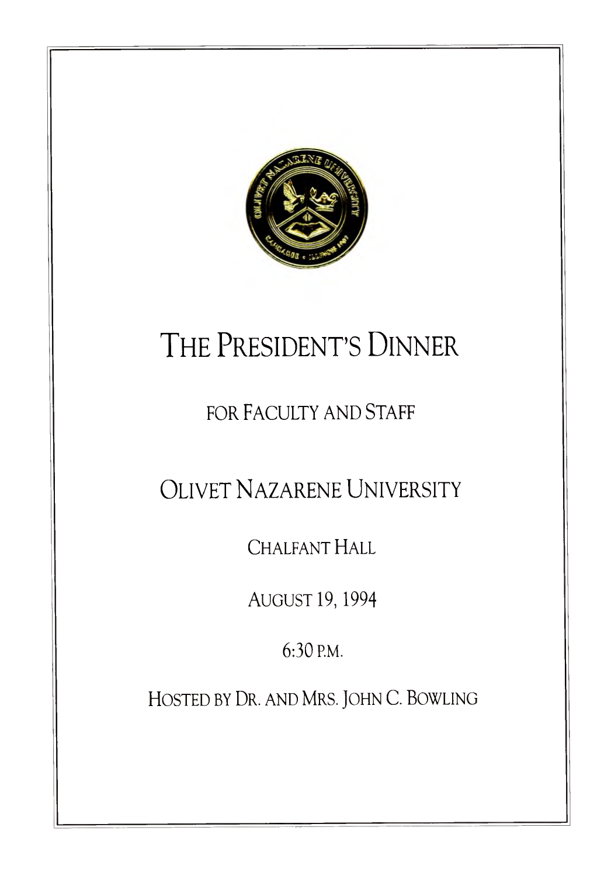

# THE PRESIDENT'S DINNER

# FOR FACULTY AND STAFF

OLIVET NAZARENE UNIVERSITY

CHALFANT HALL

AUGUST 19, 1994

6:30 P.M.

HOSTED BY DR. AND MRS. JOHN C. BOWLING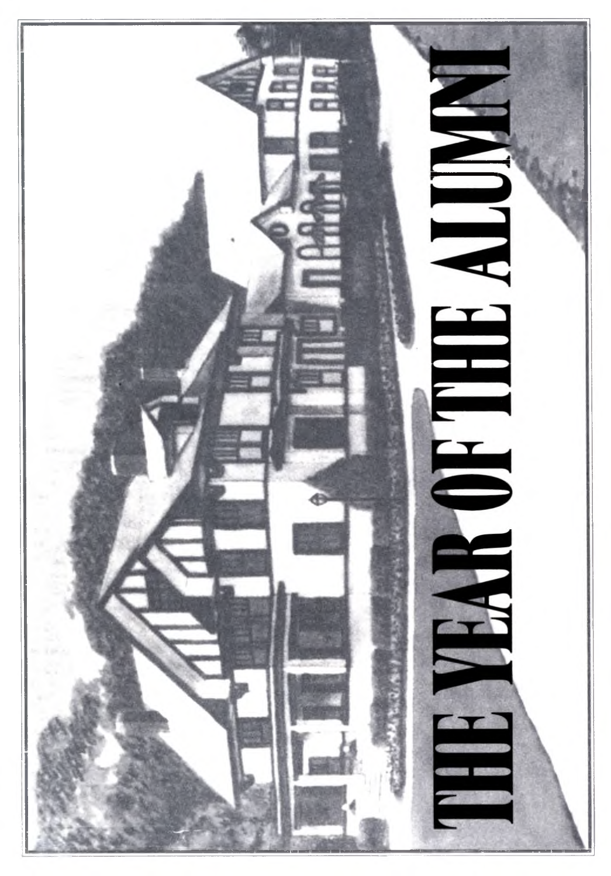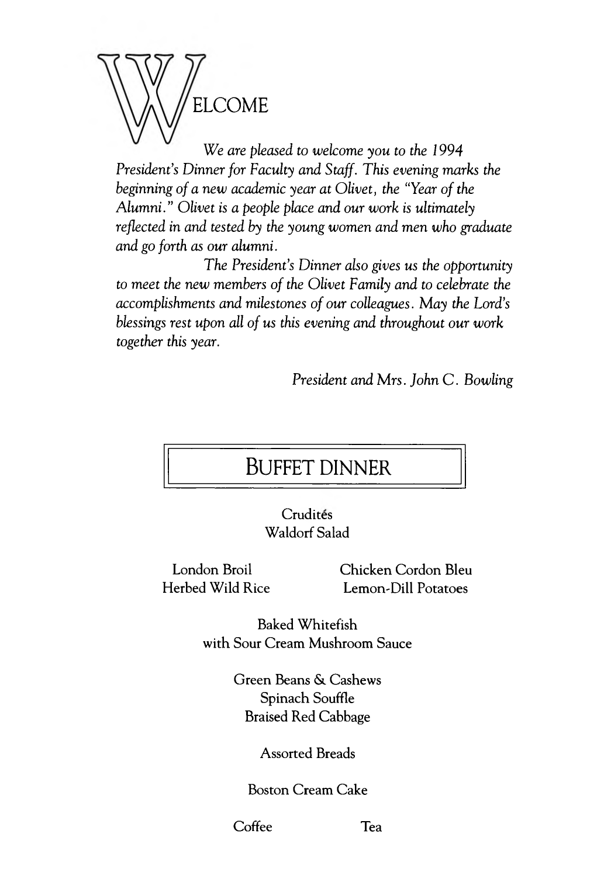

*We are pleased to welcome you to the 1994 President's Dinner for Faculty and Staff. This evening marks the beginning of a new academic year at Olivet, the "Year of the Alumni." Olivet is a people place and our work is ultimately reflected in and tested by the young women and men who graduate and go forth as our alumni.*

*The President's Dinner also gives us the opportunity to meet the new members of the Olivet Family and to celebrate the accomplishments and milestones of our colleagues. May the Lord's blessings rest upon all of us this evening and throughout our work together this year.*

*President and Mrs. John C. Bowling* 

### BUFFET DINNER

Crudités Waldorf Salad

London Broil Chicken Cordon Bleu Herbed Wild Rice Lemon-Dill Potatoes

> Baked Whitefish with Sour Cream Mushroom Sauce

> > Green Beans &. Cashews Spinach Souffle Braised Red Cabbage

#### Assorted Breads

#### Boston Cream Cake

Coffee Tea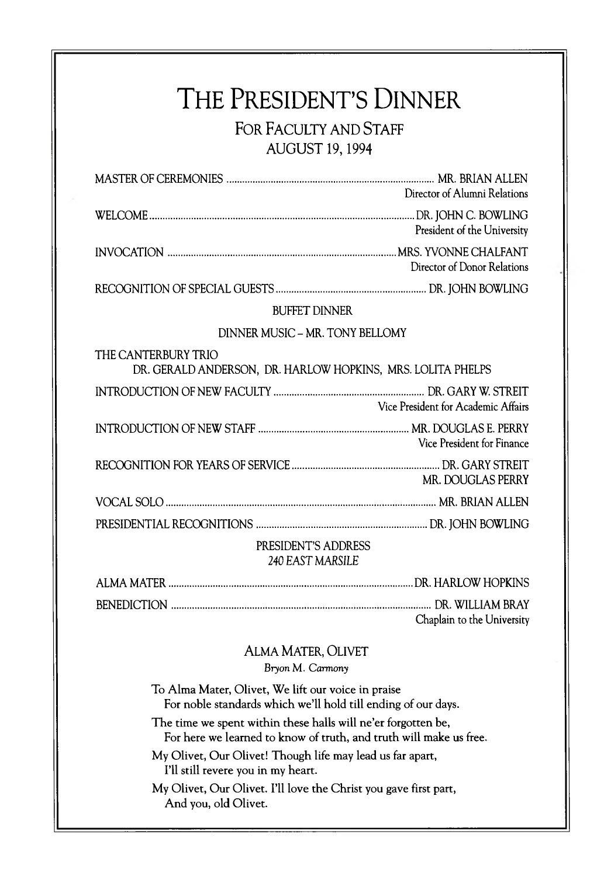### THE PRESIDENT'S DINNER FOR FACULTY AND STAFF AUGUST 19,1994

| Director of Alumni Relations                                                       |  |
|------------------------------------------------------------------------------------|--|
| President of the University                                                        |  |
| Director of Donor Relations                                                        |  |
|                                                                                    |  |
| <b>BUFFET DINNER</b>                                                               |  |
| DINNER MUSIC - MR. TONY BELLOMY                                                    |  |
| THE CANTERBURY TRIO<br>DR. GERALD ANDERSON, DR. HARLOW HOPKINS, MRS. LOLITA PHELPS |  |
| Vice President for Academic Affairs                                                |  |
| Vice President for Finance                                                         |  |
| MR. DOUGLAS PERRY                                                                  |  |
|                                                                                    |  |
|                                                                                    |  |
| PRESIDENT'S ADDRESS                                                                |  |

#### PRESIDENT'S ADDRESS *240* EAST MARSILE

| Chaplain to the University |
|----------------------------|

### ALMA MATER, OLIVET

*Bryon M. Carmony* 

To Alma Mater, Olivet, We lift our voice in praise For noble standards which we'll hold till ending of our days.

The time we spent within these halls will ne'er forgotten be, For here we learned to know of truth, and truth will make us free.

My Olivet, Our Olivet! Though life may lead us far apart, I'll still revere you in my heart.

My Olivet, Our Olivet. I'll love the Christ you gave first part, And you, old Olivet.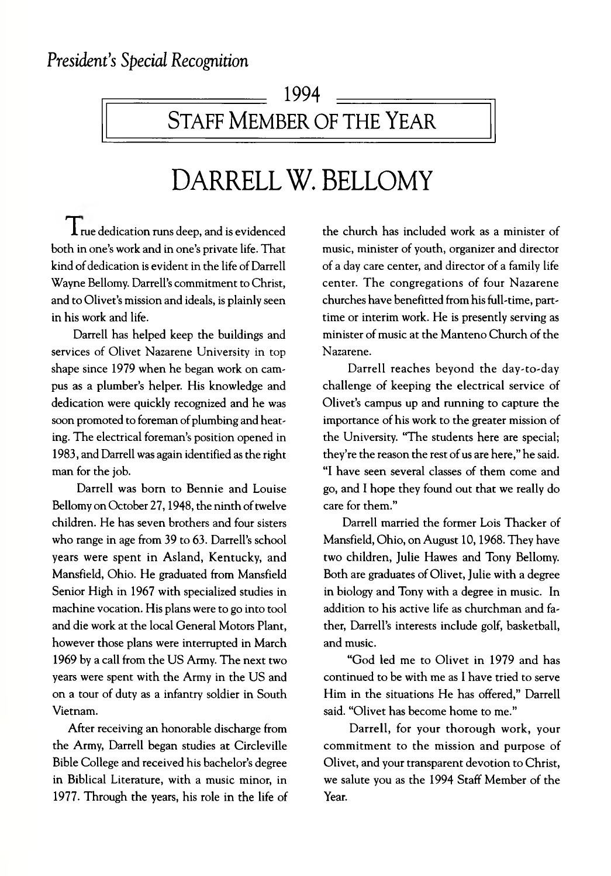### 1994 = STAFF MEMBER OF THE YEAR

# DARRELL W. BELLOMY

 $\prod$  rue dedication runs deep, and is evidenced both in one's work and in one's private life. That kind of dedication is evident in the life of Darrell Wayne Bellomy. Darrell's commitment to Christ, and to Olivet's mission and ideals, is plainly seen in his work and life.

Darrell has helped keep the buildings and services of Olivet Nazarene University in top shape since 1979 when he began work on campus as a plumber's helper. His knowledge and dedication were quickly recognized and he was soon promoted to foreman of plumbing and heating. The electrical foreman's position opened in 1983, and Darrell was again identified as the right man for the job.

Darrell was born to Bennie and Louise Bellomy on October 27,1948, the ninth of twelve children. He has seven brothers and four sisters who range in age from 39 to 63. Darrell's school years were spent in Asland, Kentucky, and Mansfield, Ohio. He graduated from Mansfield Senior High in 1967 with specialized studies in machine vocation. His plans were to go into tool and die work at the local General Motors Plant, however those plans were interrupted in March 1969 by a call from the US Army. The next two years were spent with the Army in the US and on a tour of duty as a infantry soldier in South Vietnam.

After receiving an honorable discharge from the Army, Darrell began studies at Circleville Bible College and received his bachelor's degree in Biblical Literature, with a music minor, in 1977. Through the years, his role in the life of the church has included work as a minister of music, minister of youth, organizer and director of a day care center, and director of a family life center. The congregations of four Nazarene churches have benefitted from his full-time, parttime or interim work. He is presently serving as minister of music at the Manteno Church of the Nazarene.

Darrell reaches beyond the day-to-day challenge of keeping the electrical service of Olivet's campus up and running to capture the importance of his work to the greater mission of the University. "The students here are special; they're the reason the rest of us are here," he said. "I have seen several classes of them come and go, and I hope they found out that we really do care for them."

Darrell married the former Lois Thacker of Mansfield, Ohio, on August 10,1968. They have two children, Julie Hawes and Tony Bellomy. Both are graduates of Olivet, Julie with a degree in biology and Tony with a degree in music. In addition to his active life as churchman and father, Darrell's interests include golf, basketball, and music.

"God led me to Olivet in 1979 and has continued to be with me as I have tried to serve Him in the situations He has offered," Darrell said. "Olivet has become home to me."

Darrell, for your thorough work, your commitment to the mission and purpose of Olivet, and your transparent devotion to Christ, we salute you as the 1994 Staff Member of the Year.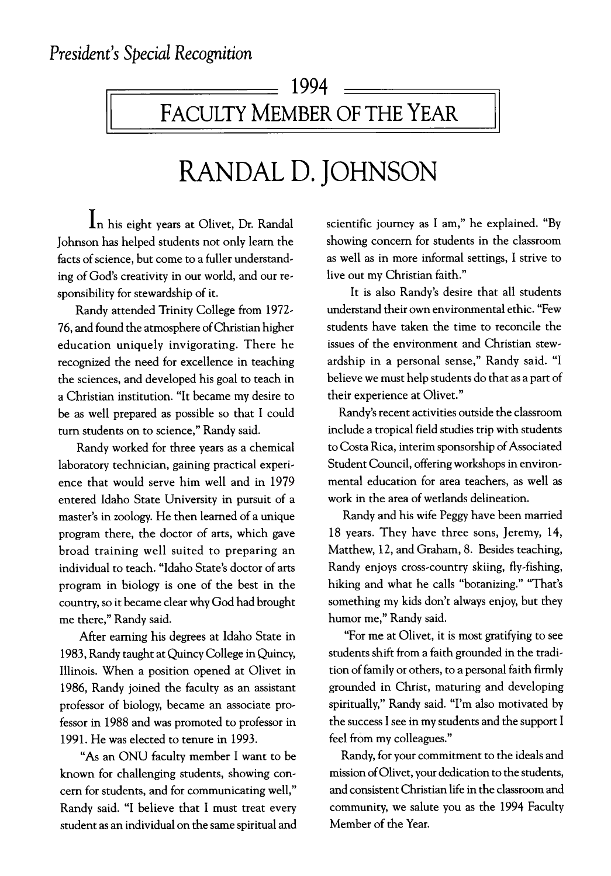## ■ 1994 FACULTY MEMBER OF THE YEAR

# RANDAL D. JOHNSON

In his eight years at Olivet, Dr. Randal Johnson has helped students not only learn the facts of science, but come to a fuller understanding of God's creativity in our world, and our responsibility for stewardship of it.

Randy attended Trinity College from 1972- 76, and found the atmosphere of Christian higher education uniquely invigorating. There he recognized the need for excellence in teaching the sciences, and developed his goal to teach in a Christian institution. "It became my desire to be as well prepared as possible so that I could turn students on to science," Randy said.

Randy worked for three years as a chemical laboratory technician, gaining practical experience that would serve him well and in 1979 entered Idaho State University in pursuit of a master's in zoology. He then learned of a unique program there, the doctor of arts, which gave broad training well suited to preparing an individual to teach. "Idaho State's doctor of arts program in biology is one of the best in the country, so it became clear why God had brought me there," Randy said.

After earning his degrees at Idaho State in 1983, Randy taught at Quincy College in Quincy, Illinois. When a position opened at Olivet in 1986, Randy joined the faculty as an assistant professor of biology, became an associate professor in 1988 and was promoted to professor in 1991. He was elected to tenure in 1993.

"As an ONU faculty member I want to be known for challenging students, showing concern for students, and for communicating well," Randy said. "I believe that I must treat every student as an individual on the same spiritual and

scientific journey as I am," he explained. "By showing concern for students in the classroom as well as in more informal settings, I strive to live out my Christian faith."

It is also Randy's desire that all students understand their own environmental ethic. "Few students have taken the time to reconcile the issues of the environment and Christian stewardship in a personal sense," Randy said. "I believe we must help students do that as a part of their experience at Olivet."

Randy's recent activities outside the classroom include a tropical field studies trip with students to Costa Rica, interim sponsorship of Associated Student Council, offering workshops in environmental education for area teachers, as well as work in the area of wetlands delineation.

Randy and his wife Peggy have been married 18 years. They have three sons, Jeremy, 14, Matthew, 12, and Graham, 8. Besides teaching, Randy enjoys cross-country skiing, fly-fishing, hiking and what he calls "botanizing." "That's something my kids don't always enjoy, but they humor me," Randy said.

"For me at Olivet, it is most gratifying to see students shift from a faith grounded in the tradition of family or others, to a personal faith firmly grounded in Christ, maturing and developing spiritually," Randy said. "I'm also motivated by the success I see in my students and the support I feel from my colleagues."

Randy, for your commitment to the ideals and mission of Olivet, your dedication to the students, and consistent Christian life in the classroom and community, we salute you as the 1994 Faculty Member of the Year.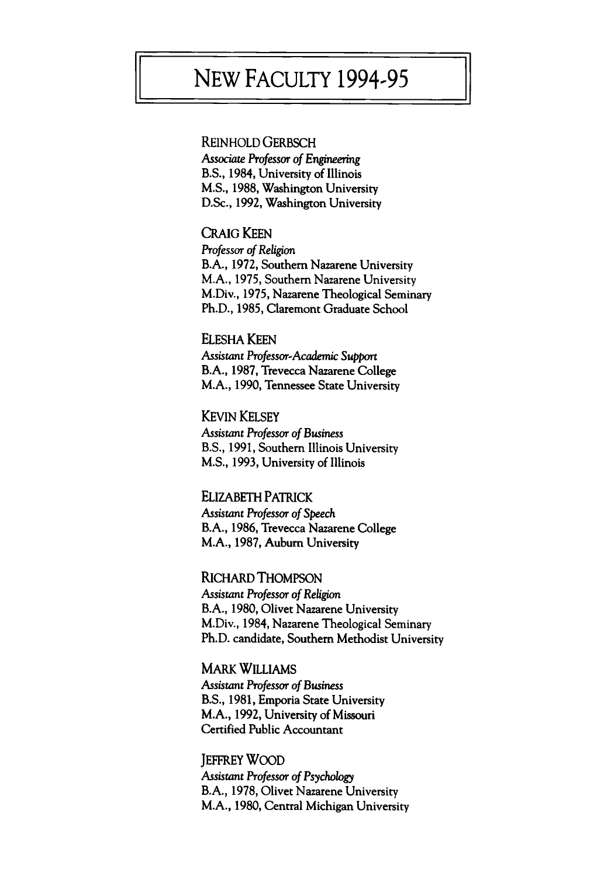### NEW FACULTY 1994-95

#### REINHOLD GERBSCH

*Associate Professor of Engineering* B.S., 1984, University of Illinois M.S., 1988, Washington University D.Sc., 1992, Washington University

CRAIG KEEN *Professor of Religion* B.A., 1972, Southern Nazarene University M.A., 1975, Southern Nazarene University M.Div., 1975, Nazarene Theological Seminary Ph.D., 1985, Claremont Graduate School

ELESHA KEEN *Assistant Professor-Academic Support* B.A., 1987, Trevecca Nazarene College M.A., 1990, Tennessee State University

**KEVIN KELSEY** *Assistant Professor of Business* B.S., 1991, Southern Illinois University M.S., 1993, University of Illinois

ELIZABETH PATRICK *Assistant Professor of Speech* B.A., 1986, Trevecca Nazarene College M.A., 1987, Auburn University

RICHARD THOMPSON *Assistant Professor of Religion* B.A., 1980, Olivet Nazarene University M.Div., 1984, Nazarene Theological Seminary Ph.D. candidate, Southern Methodist University

**MARK WILLIAMS** *Assistant Professor* of Business B.S., 1981, Emporia State University M.A., 1992, University of Missouri Certified Public Accountant

**JEFFREY WOOD** Assistant *Professor of Psychology* B.A., 1978, Olivet Nazarene University M.A., 1980, Central Michigan University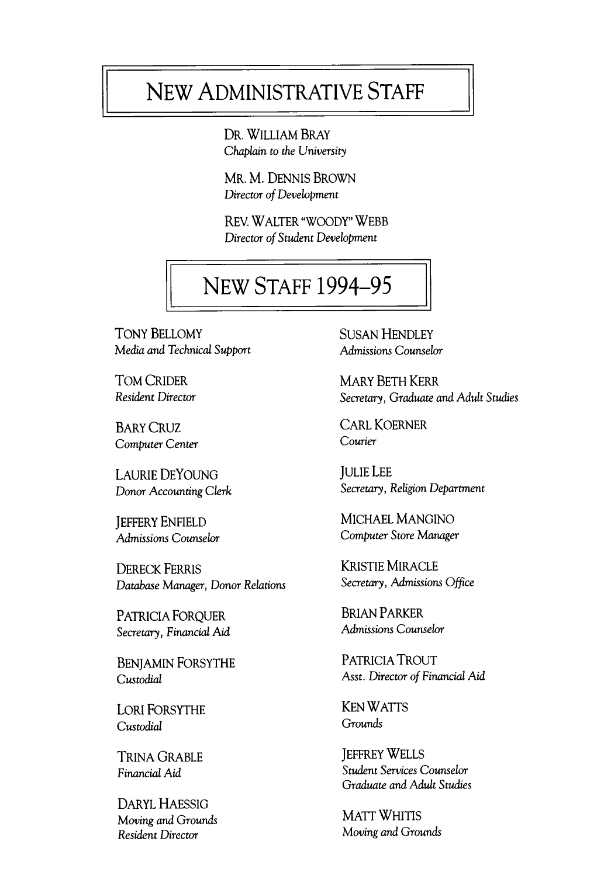# NEW ADMINISTRATIVE STAFF

DR. WILLIAM BRAY *Chaplain* to *the University*

Mr. M. DENNIS BROWN *Director of Development*

REV. WALTER "WOODY" WEBB *Director of Student Development*

# **NEW STAFF 1994-95**

TONY BELLOMY SUSAN HENDLEY *Media and Technical Support* **Admissions Counselor** 

*Computer Center Courier*

*Donor Accounting Clerk* 

DERECK FERRIS<br>Database Manager, Donor Relations Secretary, Admissions Office *Database Manager, Donor Relations* 

*Secretary, Financial Aid Admissions Counselor*

LORI FORSYTHE KEN WATTS *Custodial Grounds*

DARYL HAESSIG *Moving and Grounds* MATT WHITIS

TOM CRIDER MARY BETH KERR *Resident Director Secretary, Graduate and Adult Studies*

BARY CRUZ CARL KOERNER<br>Courier Contains

LAURIE DEYOUNG<br>
Donor Accounting Clerk<br>
Secretary, Religion Department

**JEFFERY ENFIELD MICHAEL MANGINO** *Admissions Counselor Computer Store Manager*

PATRICIA FORQUER<br>Secretary Financial Aid Admissions Counselor

BENJAMIN FORSYTHE PATRICIA TROUT *Custodial* Asst. *Director of Financial Aid*

TRINA GRABLE JEFFREY WELLS *Financial Aid Student Services Counselor Graduate and Adult Studies*

**Resident Director** Moving and Grounds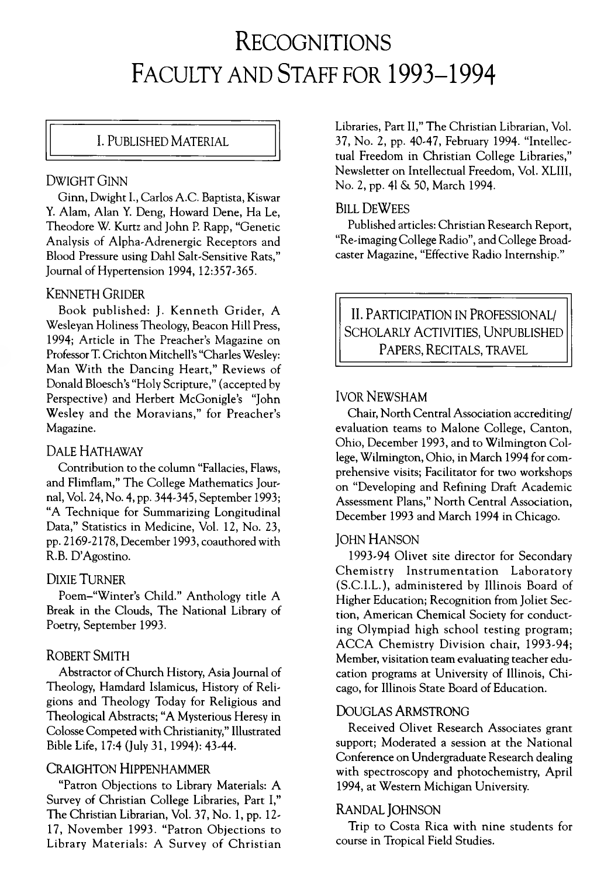# RECOGNITIONS FACULTY AND STAFF FOR 1993-1994

#### I. PUBLISHED MATERIAL

#### DWIGHT GINN

Ginn, Dwight I., Carlos A.C. Baptista, Kiswar Y. Alam, Alan Y. Deng, Howard Dene, Ha Le, Theodore W. Kurtz and John R Rapp, "Genetic Analysis of Alpha-Adrenergic Receptors and Blood Pressure using Dahl Salt-Sensitive Rats," Journal of Hypertension 1994, 12:357-365.

#### KENNETH GRIDER

Book published: J. Kenneth Grider, A Wesleyan Holiness Theology, Beacon Hill Press, 1994; Article in The Preacher's Magazine on Professor T. Crichton Mitchell's "Charles Wesley: Man With the Dancing Heart," Reviews of Donald Bloesch's "Holy Scripture," (accepted by Perspective) and Herbert McGonigle's "John Wesley and the Moravians," for Preacher's Magazine.

#### DALE HATHAWAY

Contribution to the column "Fallacies, Flaws, and Flimflam," The College Mathematics Journal, Vol. 24, No. 4, pp. 344-345, September 1993; "A Technique for Summarizing Longitudinal Data," Statistics in Medicine, Vol. 12, No. 23, pp. 2169-2178, December 1993, coauthored with R.B. D'Agostino.

#### DIXIE TURNER

Poem-"Winter's Child." Anthology title A Break in the Clouds, The National Library of Poetry, September 1993.

#### ROBERT SMITH

Abstractor of Church History, Asia Journal of Theology, Hamdard Islamicus, History of Religions and Theology Today for Religious and Theological Abstracts; "A Mysterious Heresy in Colosse Competed with Christianity," Illustrated Bible Life, 17:4 (July 31, 1994): 43-44.

#### CRAIGHTON HIPPENHAMMER

"Patron Objections to Library Materials: A Survey of Christian College Libraries, Part I," The Christian Librarian, Vol. 37, No. 1, pp. 12-17, November 1993. "Patron Objections to Library Materials: A Survey of Christian Libraries, Part II," The Christian Librarian, Vol. 37, No. 2, pp. 40-47, February 1994. "Intellectual Freedom in Christian College Libraries," Newsletter on Intellectual Freedom, Vol. XLIII, No. 2, pp. 41 &. 50, March 1994.

#### BILL DEWEES

Published articles: Christian Research Report, "Re-imaging College Radio", and College Broadcaster Magazine, "Effective Radio Internship."

II. PARTICIPATION IN PROFESSIONAL/ SCHOLARLY ACTIVITIES. UNPUBLISHED PAPERS, RECITALS, TRAVEL

#### **IVOR NEWSHAM**

Chair, North Central Association accrediting/ evaluation teams to Malone College, Canton, Ohio, December 1993, and to Wilmington College, Wilmington, Ohio, in March 1994 for comprehensive visits; Facilitator for two workshops on "Developing and Refining Draft Academic Assessment Plans," North Central Association, December 1993 and March 1994 in Chicago.

#### JOHN HANSON

1993-94 Olivet site director for Secondary Chemistry Instrumentation Laboratory (S.C .I.L .), administered by Illinois Board of Higher Education; Recognition from Joliet Section, American Chemical Society for conducting Olympiad high school testing program; ACCA Chemistry Division chair, 1993-94; Member, visitation team evaluating teacher education programs at University of Illinois, Chicago, for Illinois State Board of Education.

#### DOUGLAS ARMSTRONG

Received Olivet Research Associates grant support; Moderated a session at the National Conference on Undergraduate Research dealing with spectroscopy and photochemistry, April 1994, at Western Michigan University.

#### RANDAL JOHNSON

Trip to Costa Rica with nine students for course in Tropical Field Studies.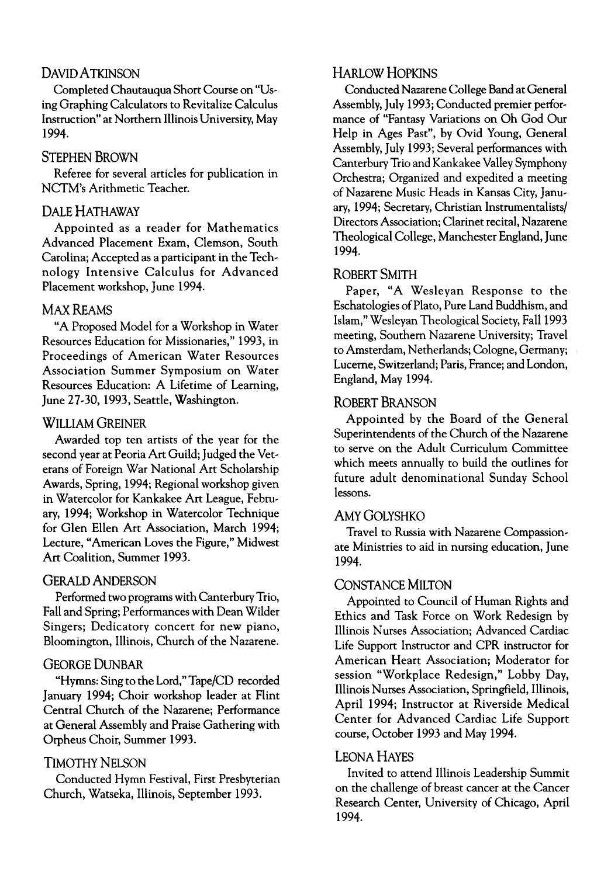#### DAVID A TKINSON

Completed Chautauqua Short Course on "Using Graphing Calculators to Revitalize Calculus Instruction" at Northern Illinois University, May 1994.

#### STEPHEN BROWN

Referee for several articles for publication in NCTM's Arithmetic Teacher.

#### DALE HATHAWAY

Appointed as a reader for Mathematics Advanced Placement Exam, Clemson, South Carolina; Accepted as a participant in the Technology Intensive Calculus for Advanced Placement workshop, June 1994.

#### MAX REAMS

"A Proposed Model for a Workshop in Water Resources Education for Missionaries," 1993, in Proceedings of American Water Resources Association Summer Symposium on Water Resources Education: A Lifetime of Learning, June 27-30,1993, Seattle, Washington.

#### **WILLIAM GREINER**

Awarded top ten artists of the year for the second year at Peoria Art Guild; Judged the Veterans of Foreign War National Art Scholarship Awards, Spring, 1994; Regional workshop given in Watercolor for Kankakee Art League, February, 1994; Workshop in Watercolor Technique for Glen Ellen Art Association, March 1994; Lecture, "American Loves the Figure," Midwest Art Coalition, Summer 1993.

#### GERALD ANDERSON

Performed two programs with Canterbury Trio, Fall and Spring; Performances with Dean Wilder Singers; Dedicatory concert for new piano, Bloomington, Illinois, Church of the Nazarene.

#### GEORGE DUNBAR

"Hymns: Sing to the Lord," Tape/CD recorded January 1994; Choir workshop leader at Flint Central Church of the Nazarene; Performance at General Assembly and Praise Gathering with Orpheus Choir, Summer 1993.

#### **TIMOTHY NELSON**

Conducted Hymn Festival, First Presbyterian Church, Watseka, Illinois, September 1993.

#### HARLOW HOPKINS

Conducted Nazarene College Band at General Assembly, July 1993; Conducted premier performance of "Fantasy Variations on Oh God Our Help in Ages Past", by Ovid Young, General Assembly, July 1993; Several performances with Canterbury Trio and Kankakee Valley Symphony Orchestra; Organized and expedited a meeting of Nazarene Music Heads in Kansas City, January, 1994; Secretary, Christian Instrumentalists/ Directors Association; Clarinet recital, Nazarene Theological College, Manchester England, June 1994.

#### ROBERT SMITH

Paper, "A Wesleyan Response to the Eschatologies of Plato, Pure Land Buddhism, and Islam," Wesleyan Theological Society, Fall 1993 meeting, Southern Nazarene University; Travel to Amsterdam, Netherlands; Cologne, Germany; Lucerne, Switzerland; Paris, France; and London, England, May 1994.

#### ROBERT BRANSON

Appointed by the Board of the General Superintendents of the Church of the Nazarene to serve on the Adult Curriculum Committee which meets annually to build the outlines for future adult denominational Sunday School lessons.

#### AMY GOLYSHKO

Travel to Russia with Nazarene Compassionate Ministries to aid in nursing education, June 1994.

#### CONSTANCE MILTON

Appointed to Council of Human Rights and Ethics and Task Force on Work Redesign by Illinois Nurses Association; Advanced Cardiac Life Support Instructor and CPR instructor for American Heart Association; Moderator for session "Workplace Redesign," Lobby Day, Illinois Nurses Association, Springfield, Illinois, April 1994; Instructor at Riverside Medical Center for Advanced Cardiac Life Support course, October 1993 and May 1994.

#### LEONA HAYES

Invited to attend Illinois Leadership Summit on the challenge of breast cancer at the Cancer Research Center, University of Chicago, April 1994.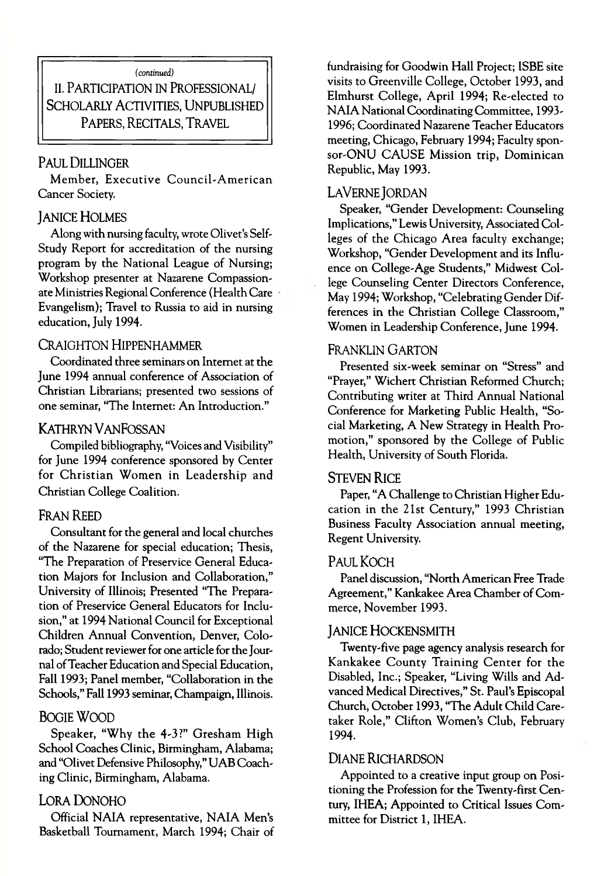*(continued)*

**II. PARTICIPATION IN PROFESSIONAL/** SCHOLARLY ACTIVITIES, UNPUBLISHED PAPERS, RECITALS, TRAVEL

#### PAUL DILLINGER

Member, Executive Council-American Cancer Society.

#### **JANICE HOLMES**

Along with nursing faculty, wrote Olivet's Self-Study Report for accreditation of the nursing program by the National League of Nursing; Workshop presenter at Nazarene Compassionate Ministries Regional Conference (Health Care Evangelism); Travel to Russia to aid in nursing education, July 1994.

#### CRAIGHTON HIPPENHAMMER

Coordinated three seminars on Internet at the June 1994 annual conference of Association of Christian Librarians; presented two sessions of one seminar, "The Internet: An Introduction."

#### **KATHRYN VANFOSSAN**

Compiled bibliography, "Voices and Visibility" for June 1994 conference sponsored by Center for Christian Women in Leadership and Christian College Coalition.

#### FRAN REED

Consultant for the general and local churches of the Nazarene for special education; Thesis, "The Preparation of Preservice General Education Majors for Inclusion and Collaboration," University of Illinois; Presented "The Preparation of Preservice General Educators for Inclusion," at 1994 National Council for Exceptional Children Annual Convention, Denver, Colorado; Student reviewer for one article for the Journal of Teacher Education and Special Education, Fall 1993; Panel member, "Collaboration in the Schools," Fall 1993 seminar, Champaign, Illinois.

#### BOGIE WOOD

Speaker, "Why the 4-3?" Gresham High School Coaches Clinic, Birmingham, Alabama; and "Olivet Defensive Philosophy," UAB Coaching Clinic, Birmingham, Alabama.

#### LORA DONOHO

Official NAIA representative, NAIA Men's Basketball Tournament, March 1994; Chair of fundraising for Goodwin Hall Project; ISBE site visits to Greenville College, October 1993, and Elmhurst College, April 1994; Re-elected to NAIA National Coordinating Committee, 1993-1996; Coordinated Nazarene Teacher Educators meeting, Chicago, February 1994; Faculty sponsor-ONU CAUSE Mission trip, Dominican Republic, May 1993.

#### LAVERNE JORDAN

Speaker, "Gender Development: Counseling Implications," Lewis University, Associated Colleges of the Chicago Area faculty exchange; Workshop, "Gender Development and its Influence on College-Age Students," Midwest College Counseling Center Directors Conference, May 1994; Workshop, "Celebrating Gender Differences in the Christian College Classroom," Women in Leadership Conference, June 1994.

#### FRANKLIN GARTON

Presented six-week seminar on "Stress" and "Prayer," Wichert Christian Reformed Church; Contributing writer at Third Annual National Conference for Marketing Public Health, "Social Marketing, A New Strategy in Health Promotion," sponsored by the College of Public Health, University of South Florida.

#### **STEVEN RICE**

Paper, "A Challenge to Christian Higher Education in the 21st Century," 1993 Christian Business Faculty Association annual meeting, Regent University.

#### Paul Koch

Panel discussion, "North American Free Trade Agreement," Kankakee Area Chamber of Commerce, November 1993.

#### JANICE HOCKENSMITH

Twenty-five page agency analysis research for Kankakee County Training Center for the Disabled, Inc.; Speaker, "Living Wills and Advanced Medical Directives," St. Paul's Episcopal Church, October 1993, "The Adult Child Caretaker Role," Clifton Women's Club, February 1994.

#### DIANE RICHARDSON

Appointed to a creative input group on Positioning the Profession for the Twenty-first Century, IHEA; Appointed to Critical Issues Committee for District 1, IHEA.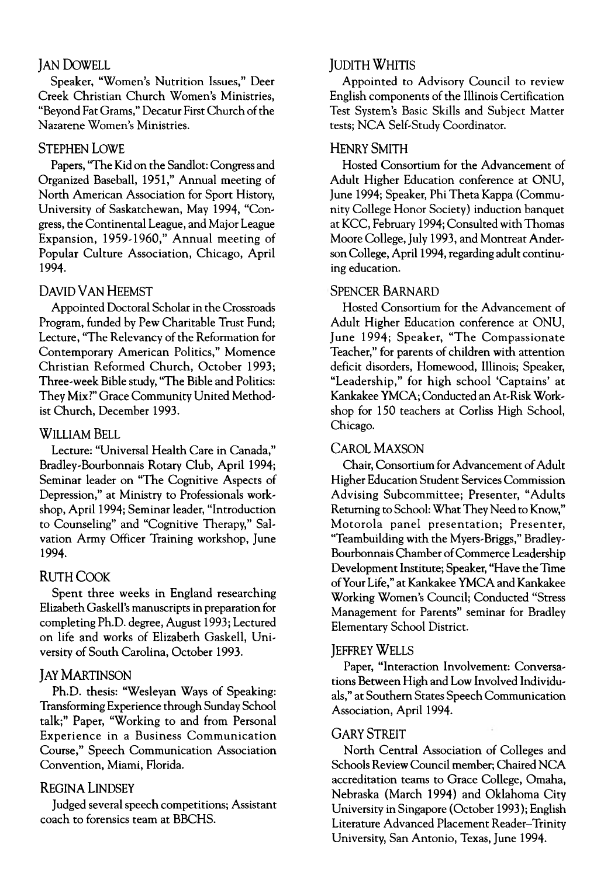#### **JAN DOWELL**

Speaker, "Women's Nutrition Issues," Deer Creek Christian Church Women's Ministries, "Beyond Fat Grams," Decatur First Church of the Nazarene Women's Ministries.

#### STEPHEN LOWE

Papers, "The Kid on the Sandlot: Congress and Organized Baseball, 1951," Annual meeting of North American Association for Sport History, University of Saskatchewan, May 1994, "Congress, the Continental League, and Major League Expansion, 1959-1960," Annual meeting of Popular Culture Association, Chicago, April 1994.

#### DAVID VAN HEEMST

Appointed Doctoral Scholar in the Crossroads Program, funded by Pew Charitable Trust Fund; Lecture, "The Relevancy of the Reformation for Contemporary American Politics," Momence Christian Reformed Church, October 1993; Three-week Bible study, "The Bible and Politics: They Mix?" Grace Community United Methodist Church, December 1993.

#### WILLIAM BELL

Lecture: "Universal Health Care in Canada," Bradley-Bourbonnais Rotary Club, April 1994; Seminar leader on "The Cognitive Aspects of Depression," at Ministry to Professionals workshop, April 1994; Seminar leader, "Introduction to Counseling" and "Cognitive Therapy," Salvation Army Officer Training workshop, June 1994.

#### RUTH COOK

Spent three weeks in England researching Elizabeth Gaskell's manuscripts in preparation for completing Ph.D. degree, August 1993; Lectured on life and works of Elizabeth Gaskell, University of South Carolina, October 1993.

#### **JAY MARTINSON**

Ph.D. thesis: "Wesleyan Ways of Speaking: Transforming Experience through Sunday School talk;" Paper, "Working to and from Personal Experience in a Business Communication Course," Speech Communication Association Convention, Miami, Florida.

#### REGINA LINDSEY

Judged several speech competitions; Assistant coach to forensics team at BBCHS.

#### **IUDITH WHITIS**

Appointed to Advisory Council to review English components of the Illinois Certification Test System's Basic Skills and Subject Matter tests; NCA Self-Study Coordinator.

#### HENRY SMITH

Hosted Consortium for the Advancement of Adult Higher Education conference at ONU, June 1994; Speaker, Phi Theta Kappa (Community College Honor Society) induction banquet at KCC, February 1994; Consulted with Thomas Moore College, July 1993, and Montreat Anderson College, April 1994, regarding adult continuing education.

#### SPENCER BARNARD

Hosted Consortium for the Advancement of Adult Higher Education conference at ONU, June 1994; Speaker, "The Compassionate Teacher," for parents of children with attention deficit disorders, Homewood, Illinois; Speaker, "Leadership," for high school 'Captains' at Kankakee YMCA; Conducted an At-Risk Workshop for 150 teachers at Corliss High School, Chicago.

#### CAROL MAXSON

Chair, Consortium for Advancement of Adult Higher Education Student Services Commission Advising Subcommittee; Presenter, "Adults Returning to School: What They Need to Know," Motorola panel presentation; Presenter, "Teambuilding with the Myers-Briggs," Bradley-Bourbonnais Chamber of Commerce Leadership Development Institute; Speaker, "Have the Time of Your Life," at Kankakee YMCA and Kankakee Working Women's Council; Conducted "Stress Management for Parents" seminar for Bradley Elementary School District.

#### **IEFFREY WELLS**

Paper, "Interaction Involvement: Conversations Between High and Low Involved Individuals," at Southern States Speech Communication Association, April 1994.

#### **GARY STREIT**

North Central Association of Colleges and Schools Review Council member; Chaired NCA accreditation teams to Grace College, Omaha, Nebraska (March 1994) and Oklahoma City University in Singapore (October 1993); English Literature Advanced Placement Reader-Trinity University, San Antonio, Texas, June 1994.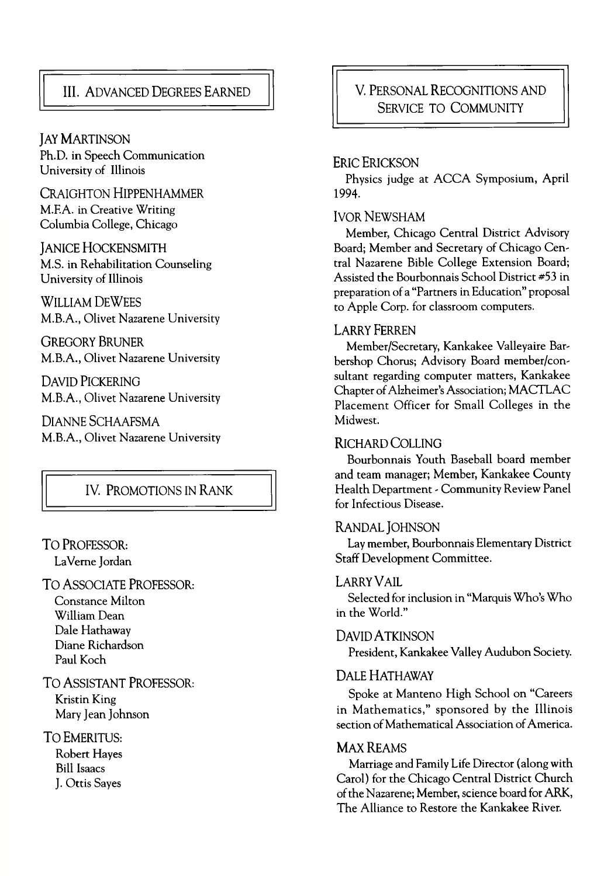### III. A DVANCED DEGREES EARNED

**JAY MARTINSON** Ph.D. in Speech Communication University of Illinois

CRAIGHTON HIPPENHAMMER M.F.A. in Creative Writing Columbia College, Chicago

JANICE HOCKENSMITH M.S. in Rehabilitation Counseling University of Illinois

WILLIAM DEWEES M.B.A., Olivet Nazarene University

GREGORY BRUNER M.B.A., Olivet Nazarene University

DAVID PICKERING M.B.A., Olivet Nazarene University

DIANNE SCHAAFSMA M.B.A., Olivet Nazarene University

#### IV. PROMOTIONS IN RANK

### TO PROFESSOR:

LaVeme Jordan

#### TO ASSOCIATE PROFESSOR:

Constance Milton William Dean Dale Hathaway Diane Richardson Paul Koch

TO ASSISTANT PROFESSOR:

Kristin King Mary Jean Johnson

#### TO EMERITUS:

Robert Hayes Bill Isaacs J. Ottis Sayes

#### V. PERSONAL RECOGNITIONS AND SERVICE TO COMMUNITY

#### ERIC ERICKSON

Physics judge at ACCA Symposium, April 1994.

#### **IVOR NEWSHAM**

Member, Chicago Central District Advisory Board; Member and Secretary of Chicago Central Nazarene Bible College Extension Board; Assisted the Bourbonnais School District *\*53* in preparation of a "Partners in Education" proposal to Apple Corp. for classroom computers.

#### LARRY FERREN

Member/Secretary, Kankakee Valleyaire Barbershop Chorus; Advisory Board member/consultant regarding computer matters, Kankakee Chapter of Alzheimer's Association; MACTLAC Placement Officer for Small Colleges in the Midwest.

#### RICHARD COLLING

Bourbonnais Youth Baseball board member and team manager; Member, Kankakee County Health Department - Community Review Panel for Infectious Disease.

#### RANDAL IOHNSON

Lay member, Bourbonnais Elementary District Staff Development Committee.

#### LARRY VAII.

Selected for inclusion in "Marquis Who's Who in the World."

#### DAVID A TKINSON

President, Kankakee Valley Audubon Society.

#### DALE HATHAWAY

Spoke at Manteno High School on "Careers in Mathematics," sponsored by the Illinois section of Mathematical Association of America.

#### MAX REAMS

Marriage and Family Life Director (along with Carol) for the Chicago Central District Church of the Nazarene; Member, science board for ARK, The Alliance to Restore the Kankakee River.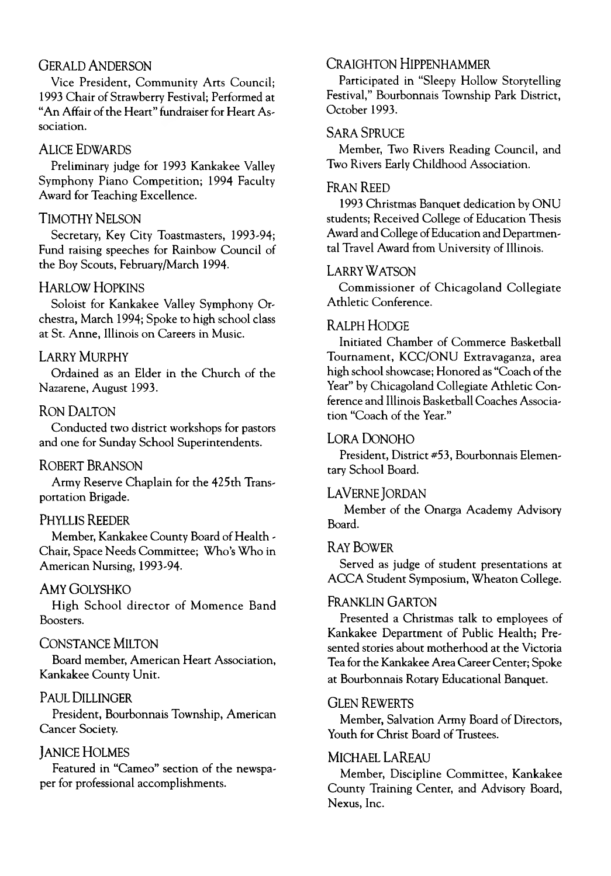#### GERALD ANDERSON

Vice President, Community Arts Council; 1993 Chair of Strawberry Festival; Performed at "An Affair of the Heart" fundraiser for Heart Association.

#### ALICE EDWARDS

Preliminary judge for 1993 Kankakee Valley Symphony Piano Competition; 1994 Faculty Award for Teaching Excellence.

#### **TIMOTHY NELSON**

Secretary, Key City Toastmasters, 1993-94; Fund raising speeches for Rainbow Council of the Boy Scouts, February/March 1994.

#### **HARLOW HOPKINS**

Soloist for Kankakee Valley Symphony Orchestra, March 1994; Spoke to high school class at St. Anne, Illinois on Careers in Music.

#### **LARRY MURPHY**

Ordained as an Elder in the Church of the Nazarene, August 1993.

#### RON DALTON

Conducted two district workshops for pastors and one for Sunday School Superintendents.

#### ROBERT BRANSON

Army Reserve Chaplain for the 425th Transportation Brigade.

#### PHYLLIS REEDER

Member, Kankakee County Board of Health - Chair, Space Needs Committee; Who's Who in American Nursing, 1993-94-

#### AMY GOLYSHKO

High School director of Momence Band Boosters.

#### CONSTANCE MILTON

Board member, American Heart Association, Kankakee County Unit.

#### PAUL DILLINGER

President, Bourbonnais Township, American Cancer Society.

#### **JANICE HOLMES**

Featured in "Cameo" section of the newspaper for professional accomplishments.

#### CRAIGHTON HIPPENHAMMER

Participated in "Sleepy Hollow Storytelling Festival," Bourbonnais Township Park District, October 1993.

#### SARA SPRUCE

Member, Two Rivers Reading Council, and Two Rivers Early Childhood Association.

#### FRAN REED

1993 Christmas Banquet dedication by ONU students; Received College of Education Thesis Award and College of Education and Departmental Travel Award from University of Illinois.

#### LARRY WATSON

Commissioner of Chicagoland Collegiate Athletic Conference.

#### R ALPH HODGE

Initiated Chamber of Commerce Basketball Tournament, KCC/ONU Extravaganza, area high school showcase; Honored as "Coach of the Year" by Chicagoland Collegiate Athletic Conference and Illinois Basketball Coaches Association "Coach of the Year."

#### LORA DONOHO

President, District #53, Bourbonnais Elementary School Board.

#### LAVERNE JORDAN

Member of the Onarga Academy Advisory Board.

#### R AY BOWER

Served as judge of student presentations at ACCA Student Symposium, Wheaton College.

#### FRANKLIN GARTON

Presented a Christmas talk to employees of Kankakee Department of Public Health; Presented stories about motherhood at the Victoria Tea for the Kankakee Area Career Center; Spoke at Bourbonnais Rotary Educational Banquet.

#### **GLEN REWERTS**

Member, Salvation Army Board of Directors, Youth for Christ Board of Trustees.

#### MICHAEL LAREAU

Member, Discipline Committee, Kankakee County Training Center, and Advisory Board, Nexus, Inc.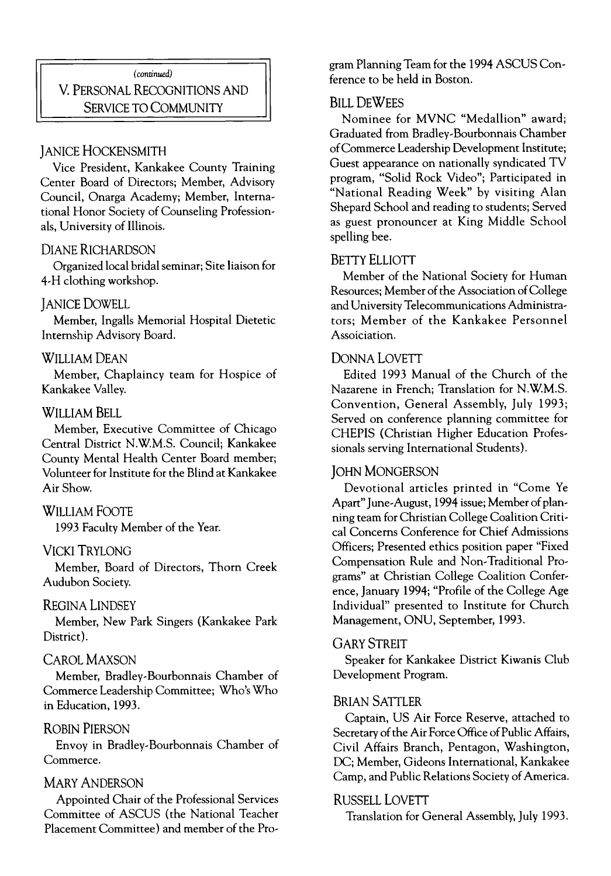*(continued)* V. PERSONAL RECOGNITIONS AND SERVICE TO COMMUNITY

#### **JANICE HOCKENSMITH**

Vice President, Kankakee County Training Center Board of Directors; Member, Advisory Council, Onarga Academy; Member, International Honor Society of Counseling Professionals, University of Illinois.

#### DIANE RICHARDSON

Organized local bridal seminar; Site liaison for 4-H clothing workshop.

#### **JANICE DOWELL**

Member, Ingalls Memorial Hospital Dietetic Internship Advisory Board.

#### WILLIAM DEAN

Member, Chaplaincy team for Hospice of Kankakee Valley.

#### WILLIAM BELL

Member, Executive Committee of Chicago Central District N.W.M.S. Council; Kankakee County Mental Health Center Board member; Volunteer for Institute for the Blind at Kankakee Air Show.

#### WILLIAM FOOTE

1993 Faculty Member of the Year.

#### VICKI TRYLONG

Member, Board of Directors, Thorn Creek Audubon Society.

#### REGINA LINDSEY

Member, New Park Singers (Kankakee Park District).

#### CAROL MAXSON

Member, Bradley-Bourbonnais Chamber of Commerce Leadership Committee; Who's Who in Education, 1993.

#### ROBIN PIERSON

Envoy in Bradley-Bourbonnais Chamber of Commerce.

#### **MARY ANDERSON**

Appointed Chair of the Professional Services Committee of ASCUS (the National Teacher Placement Committee) and member of the Program Planning Team for the 1994 ASCUS Conference to be held in Boston.

#### **BILL DEWFES**

Nominee for MVNC "Medallion" award: Graduated from Bradley-Bourbonnais Chamber of Commerce Leadership Development Institute; Guest appearance on nationally syndicated TV program, "Solid Rock Video"; Participated in "National Reading Week" by visiting Alan Shepard School and reading to students; Served as guest pronouncer at King Middle School spelling bee.

#### BETTY ELLIOTT

Member of the National Society for Human Resources; Member of the Association of College and University Telecommunications Administrators; Member of the Kankakee Personnel Assoiciation.

#### DONNA LOVETT

Edited 1993 Manual of the Church of the Nazarene in French; Translation for N.W.M.S. Convention, General Assembly, July 1993; Served on conference planning committee for CHEPIS (Christian Higher Education Professionals serving International Students).

#### **JOHN MONGERSON**

Devotional articles printed in "Come Ye Apart" June-August, 1994 issue; Member of planning team for Christian College Coalition Critical Concerns Conference for Chief Admissions Officers; Presented ethics position paper "Fixed Compensation Rule and Non-Traditional Programs" at Christian College Coalition Conference, January 1994; "Profile of the College Age Individual" presented to Institute for Church Management, ONU, September, 1993.

#### GARY STREIT

Speaker for Kankakee District Kiwanis Club Development Program.

#### BRIAN SATTLER

Captain, US Air Force Reserve, attached to Secretary of the Air Force Office of Public Affairs, Civil Affairs Branch, Pentagon, Washington, DC; Member, Gideons International, Kankakee Camp, and Public Relations Society of America.

#### RUSSELL LOVETT

Translation for General Assembly, July 1993.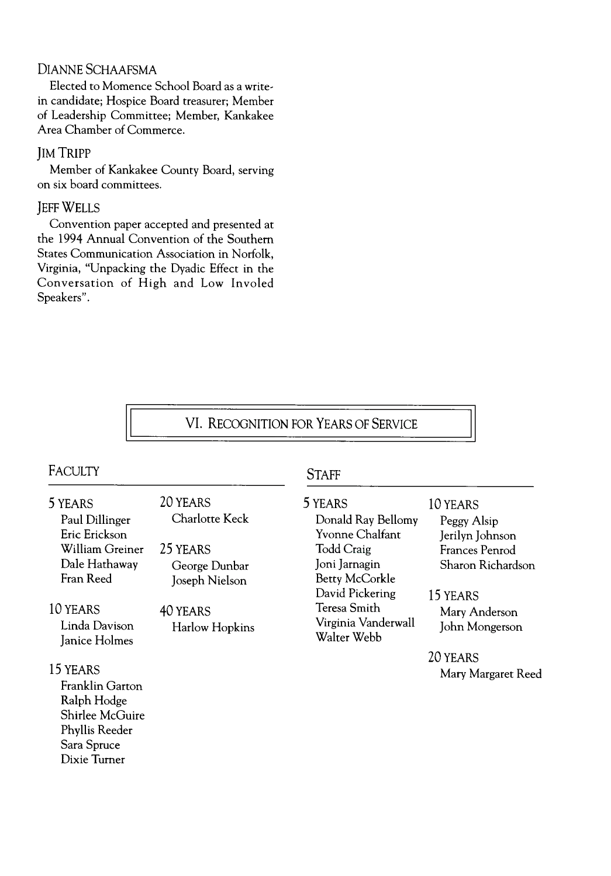#### DIANNE SCHAAFSMA

Elected to Momence School Board as a writein candidate; Hospice Board treasurer; Member of Leadership Committee; Member, Kankakee Area Chamber of Commerce.

#### JIM TRIPP

Member of Kankakee County Board, serving on six board committees.

#### **JEFF WELLS**

Convention paper accepted and presented at the 1994 Annual Convention of the Southern States Communication Association in Norfolk, Virginia, "Unpacking the Dyadic Effect in the Conversation of High and Low Involed Speakers".

20 YEARS

25 YEARS

40 YEARS

Charlotte Keck

George Dunbar Joseph Nielson

Harlow Hopkins

#### VI. RECOGNITION FOR YEARS OF SERVICE

### FACULIY STAFF

#### 5 YEARS

Paul Dillinger Eric Erickson William Greiner Dale Hathaway Fran Reed

10 YEARS Linda Davison Janice Holmes

#### 15 YEARS

Franklin Garton Ralph Hodge Shirlee McGuire Phyllis Reeder Sara Spruce Dixie Turner

5 YEARS Donald Ray Bellomy Yvonne Chalfant Todd Craig Joni Jamagin Betty McCorkle David Pickering Teresa Smith Virginia Vanderwall Walter Webb

#### 10 YEARS

Peggy Alsip Jerilyn Johnson Frances Penrod Sharon Richardson

15 YEARS

Mary Anderson John Mongerson

20 YEARS Mary Margaret Reed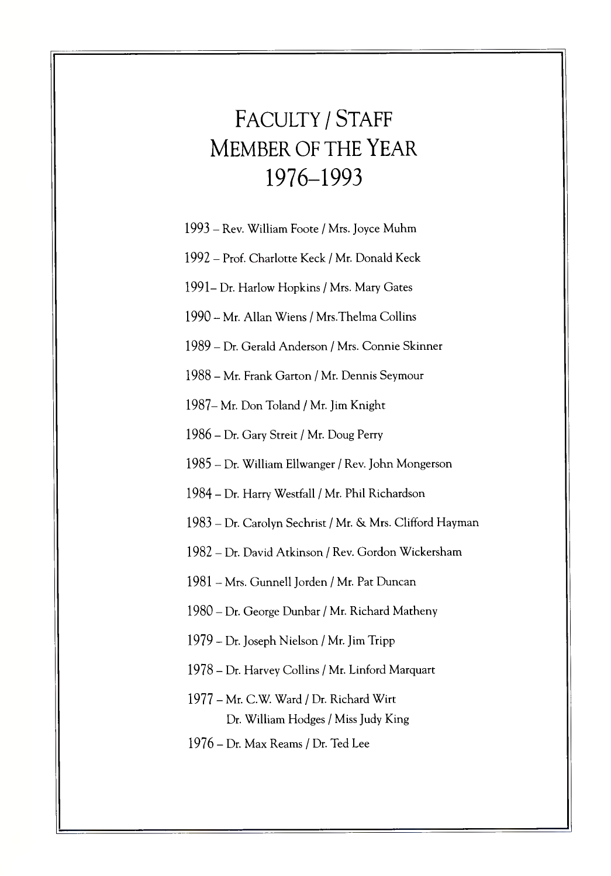# FACULTY *I* STAFF MEMBER OF THE YEAR 1976-1993

- 1993 Rev. William Foote / Mrs. Joyce Muhm
- 1992 Prof. Charlotte Keck / Mr. Donald Keck
- 1991- Dr. Harlow Hopkins / Mrs. Mary Gates
- 1990 Mr. Allan Wiens / Mrs.Thelma Collins
- 1989 Dr. Gerald Anderson / Mrs. Connie Skinner
- 1988 Mr. Frank Garton / Mr. Dennis Seymour
- 1987- Mr. Don Toland / Mr. Jim Knight
- 1986 Dr. Gary Streit / Mr. Doug Perry
- 1985 Dr. William Ellwanger / Rev. John Mongerson
- 1984 Dr. Harry Westfall / Mr. Phil Richardson
- 1983 Dr. Carolyn Sechrist / Mr. & Mrs. Clifford Hayman
- 1982 Dr. David Atkinson / Rev. Gordon Wickersham
- 1981 Mrs. Gunnell Jorden / Mr. Pat Duncan
- 1980 Dr. George Dunbar / Mr. Richard Matheny
- 1979 Dr. Joseph Nielson / Mr. Jim Tripp
- 1978 Dr. Harvey Collins / Mr. Linford Marquart
- 1977 Mr. C.W. Ward / Dr. Richard Wirt Dr. William Hodges / Miss Judy King
- 1976 Dr. Max Reams / Dr. Ted Lee